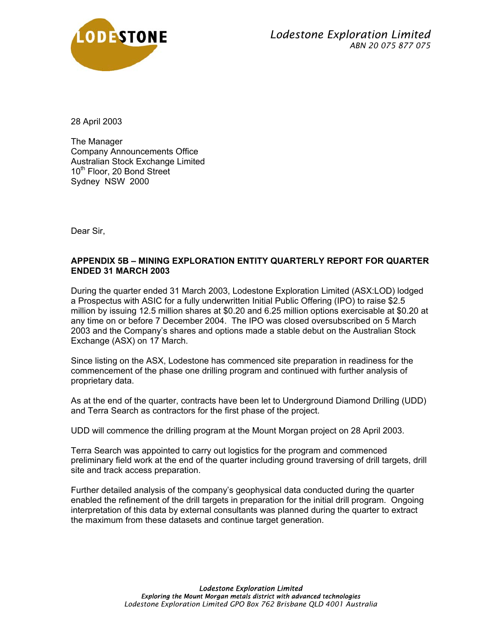

28 April 2003

The Manager Company Announcements Office Australian Stock Exchange Limited 10<sup>th</sup> Floor, 20 Bond Street Sydney NSW 2000

Dear Sir,

### **APPENDIX 5B – MINING EXPLORATION ENTITY QUARTERLY REPORT FOR QUARTER ENDED 31 MARCH 2003**

During the quarter ended 31 March 2003, Lodestone Exploration Limited (ASX:LOD) lodged a Prospectus with ASIC for a fully underwritten Initial Public Offering (IPO) to raise \$2.5 million by issuing 12.5 million shares at \$0.20 and 6.25 million options exercisable at \$0.20 at any time on or before 7 December 2004. The IPO was closed oversubscribed on 5 March 2003 and the Company's shares and options made a stable debut on the Australian Stock Exchange (ASX) on 17 March.

Since listing on the ASX, Lodestone has commenced site preparation in readiness for the commencement of the phase one drilling program and continued with further analysis of proprietary data.

As at the end of the quarter, contracts have been let to Underground Diamond Drilling (UDD) and Terra Search as contractors for the first phase of the project.

UDD will commence the drilling program at the Mount Morgan project on 28 April 2003.

Terra Search was appointed to carry out logistics for the program and commenced preliminary field work at the end of the quarter including ground traversing of drill targets, drill site and track access preparation.

Further detailed analysis of the company's geophysical data conducted during the quarter enabled the refinement of the drill targets in preparation for the initial drill program. Ongoing interpretation of this data by external consultants was planned during the quarter to extract the maximum from these datasets and continue target generation.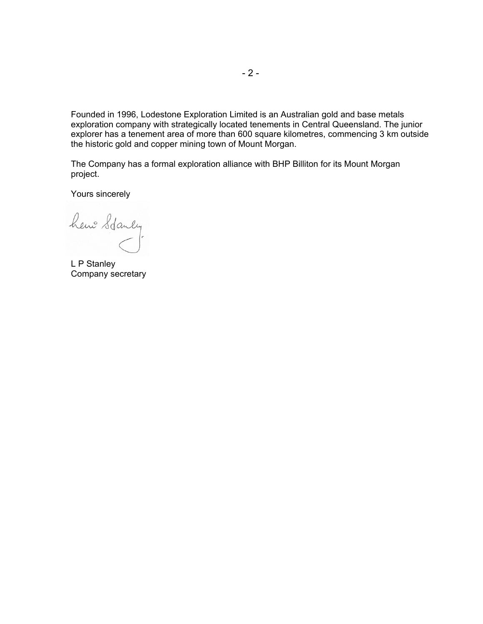Founded in 1996, Lodestone Exploration Limited is an Australian gold and base metals exploration company with strategically located tenements in Central Queensland. The junior explorer has a tenement area of more than 600 square kilometres, commencing 3 km outside the historic gold and copper mining town of Mount Morgan.

The Company has a formal exploration alliance with BHP Billiton for its Mount Morgan project.

Yours sincerely

hene Stanly

L P Stanley Company secretary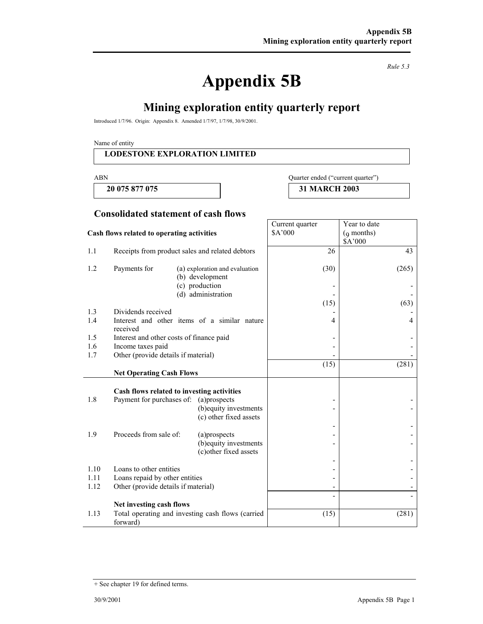# **Appendix 5B**

*Rule 5.3* 

# **Mining exploration entity quarterly report**

Introduced 1/7/96. Origin: Appendix 8. Amended 1/7/97, 1/7/98, 30/9/2001.

Name of entity

#### **LODESTONE EXPLORATION LIMITED**

#### ABN Quarter ended ("current quarter")

Year to date (9 months)

 **20 075 877 075 31 MARCH 2003** 

Current quarter \$A'000

#### **Consolidated statement of cash flows**

#### **Cash flows related to operating activities**

|      |                                          |                                                   |      | \$A'000 |
|------|------------------------------------------|---------------------------------------------------|------|---------|
| 1.1  |                                          | Receipts from product sales and related debtors   | 26   | 43      |
| 1.2  | Payments for                             | (a) exploration and evaluation<br>(b) development | (30) | (265)   |
|      |                                          | (c) production                                    |      |         |
|      |                                          | (d) administration                                |      |         |
| 1.3  | Dividends received                       |                                                   | (15) | (63)    |
| 1.4  |                                          | Interest and other items of a similar nature      | 4    | 4       |
|      | received                                 |                                                   |      |         |
| 1.5  | Interest and other costs of finance paid |                                                   |      |         |
| 1.6  | Income taxes paid                        |                                                   |      |         |
| 1.7  | Other (provide details if material)      |                                                   |      |         |
|      |                                          |                                                   | (15) | (281)   |
|      | <b>Net Operating Cash Flows</b>          |                                                   |      |         |
|      |                                          |                                                   |      |         |
| 1.8  | Payment for purchases of: (a)prospects   | Cash flows related to investing activities        |      |         |
|      |                                          | (b) equity investments                            |      |         |
|      |                                          | (c) other fixed assets                            |      |         |
|      |                                          |                                                   |      |         |
| 1.9  | Proceeds from sale of:                   | (a)prospects                                      |      |         |
|      |                                          | (b) equity investments                            |      |         |
|      |                                          | (c) other fixed assets                            |      |         |
|      |                                          |                                                   |      |         |
| 1.10 | Loans to other entities                  |                                                   |      |         |
| 1.11 | Loans repaid by other entities           |                                                   |      |         |
| 1.12 | Other (provide details if material)      |                                                   |      |         |
|      | Net investing cash flows                 |                                                   |      |         |
| 1.13 |                                          | Total operating and investing cash flows (carried | (15) | (281)   |
|      | forward)                                 |                                                   |      |         |

<sup>+</sup> See chapter 19 for defined terms.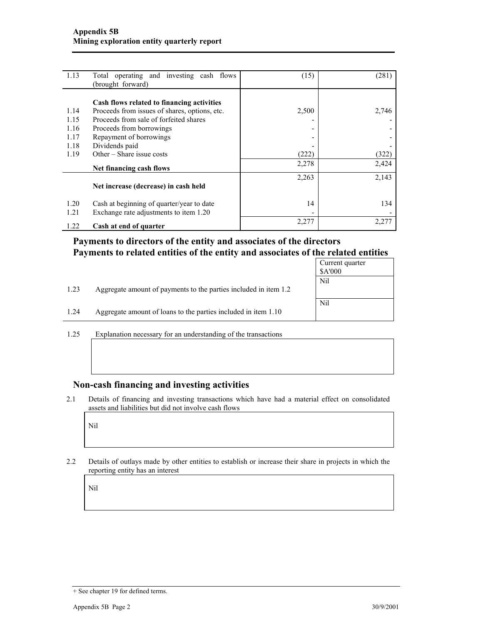| 1.13 | Total operating and investing cash flows<br>(brought forward) | (15)  | (281) |
|------|---------------------------------------------------------------|-------|-------|
|      | Cash flows related to financing activities                    |       |       |
| 1.14 | Proceeds from issues of shares, options, etc.                 | 2,500 | 2,746 |
| 1.15 | Proceeds from sale of forfeited shares                        |       |       |
| 1.16 | Proceeds from borrowings                                      |       |       |
| 1.17 | Repayment of borrowings                                       |       |       |
| 1.18 | Dividends paid                                                |       |       |
| 1.19 | Other – Share issue costs                                     | (222) | (322) |
|      | Net financing cash flows                                      | 2,278 | 2,424 |
|      |                                                               | 2,263 | 2,143 |
|      | Net increase (decrease) in cash held                          |       |       |
| 1.20 | Cash at beginning of quarter/year to date                     | 14    | 134   |
| 1.21 | Exchange rate adjustments to item 1.20                        |       |       |
| 1.22 | Cash at end of quarter                                        | 2,277 | 2,277 |

## **Payments to directors of the entity and associates of the directors Payments to related entities of the entity and associates of the related entities**

|      |                                                                  | Current quarter<br>\$A'000 |
|------|------------------------------------------------------------------|----------------------------|
|      |                                                                  | Nil                        |
| 1.23 | Aggregate amount of payments to the parties included in item 1.2 |                            |
|      |                                                                  | Nil                        |
| 1.24 | Aggregate amount of loans to the parties included in item 1.10   |                            |

1.25 Explanation necessary for an understanding of the transactions

#### **Non-cash financing and investing activities**

2.1 Details of financing and investing transactions which have had a material effect on consolidated assets and liabilities but did not involve cash flows

Nil

2.2 Details of outlays made by other entities to establish or increase their share in projects in which the reporting entity has an interest

Nil

<sup>+</sup> See chapter 19 for defined terms.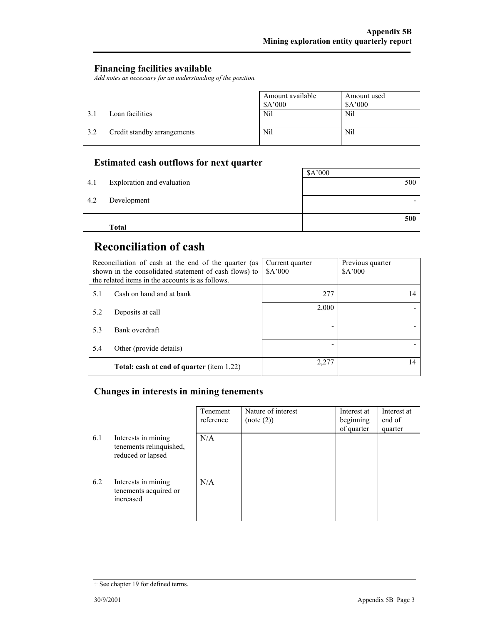## **Financing facilities available**

*Add notes as necessary for an understanding of the position.* 

|     |                             | Amount available<br>\$A'000 | Amount used<br>\$A'000 |
|-----|-----------------------------|-----------------------------|------------------------|
| 31  | Loan facilities             | Nil                         | Nil                    |
| 3.2 | Credit standby arrangements | Nil                         | Nil                    |

## **Estimated cash outflows for next quarter**

|     | <b>Total</b>               | 500     |
|-----|----------------------------|---------|
| 4.2 | Development                |         |
| 4.1 | Exploration and evaluation | 500     |
|     |                            | \$A'000 |

# **Reconciliation of cash**

| Reconciliation of cash at the end of the quarter (as<br>shown in the consolidated statement of cash flows) to<br>the related items in the accounts is as follows. |                                                  | Current quarter<br>A'000 | Previous quarter<br>\$A'000 |
|-------------------------------------------------------------------------------------------------------------------------------------------------------------------|--------------------------------------------------|--------------------------|-----------------------------|
| 5.1                                                                                                                                                               | Cash on hand and at bank                         | 277                      | 14                          |
| 5.2                                                                                                                                                               | Deposits at call                                 | 2,000                    |                             |
| 5.3                                                                                                                                                               | Bank overdraft                                   |                          |                             |
| 5.4                                                                                                                                                               | Other (provide details)                          |                          |                             |
|                                                                                                                                                                   | <b>Total: cash at end of quarter (item 1.22)</b> | 2,277                    | 14                          |

## **Changes in interests in mining tenements**

|     |                                                                     | Tenement<br>reference | Nature of interest<br>(note (2)) | Interest at<br>beginning<br>of quarter | Interest at<br>end of<br>quarter |
|-----|---------------------------------------------------------------------|-----------------------|----------------------------------|----------------------------------------|----------------------------------|
| 6.1 | Interests in mining<br>tenements relinquished,<br>reduced or lapsed | N/A                   |                                  |                                        |                                  |
| 6.2 | Interests in mining<br>tenements acquired or<br>increased           | N/A                   |                                  |                                        |                                  |

<sup>+</sup> See chapter 19 for defined terms.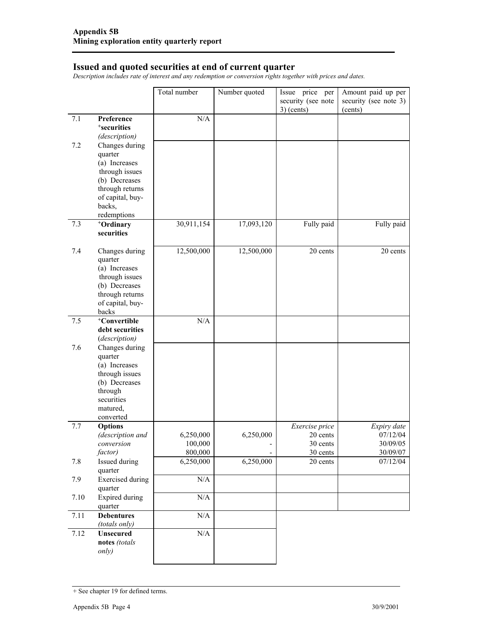#### **Issued and quoted securities at end of current quarter**

*Description includes rate of interest and any redemption or conversion rights together with prices and dates.* 

|         |                                                                                                                                                  | Total number                    | Number quoted  | Issue price per<br>security (see note<br>$3)$ (cents) | Amount paid up per<br>security (see note 3)<br>(cents) |
|---------|--------------------------------------------------------------------------------------------------------------------------------------------------|---------------------------------|----------------|-------------------------------------------------------|--------------------------------------------------------|
| 7.1     | Preference<br><sup>+</sup> securities<br>(description)                                                                                           | N/A                             |                |                                                       |                                                        |
| 7.2     | Changes during<br>quarter<br>(a) Increases<br>through issues<br>(b) Decreases<br>through returns<br>of capital, buy-<br>backs,<br>redemptions    |                                 |                |                                                       |                                                        |
| 7.3     | <sup>+</sup> Ordinary<br>securities                                                                                                              | 30,911,154                      | 17,093,120     | Fully paid                                            | Fully paid                                             |
| 7.4     | Changes during<br>quarter<br>(a) Increases<br>through issues<br>(b) Decreases<br>through returns<br>of capital, buy-<br>backs                    | 12,500,000                      | 12,500,000     | 20 cents                                              | 20 cents                                               |
| 7.5     | <sup>+</sup> Convertible<br>debt securities                                                                                                      | N/A                             |                |                                                       |                                                        |
| 7.6     | (description)<br>Changes during<br>quarter<br>(a) Increases<br>through issues<br>(b) Decreases<br>through<br>securities<br>matured,<br>converted |                                 |                |                                                       |                                                        |
| 7.7     | <b>Options</b><br>(description and<br>conversion<br>factor)                                                                                      | 6,250,000<br>100,000<br>800,000 | 6,250,000<br>- | Exercise price<br>20 cents<br>30 cents<br>30 cents    | Expiry date<br>07/12/04<br>30/09/05<br>30/09/07        |
| $7.8\,$ | Issued during<br>quarter                                                                                                                         | 6,250,000                       | 6,250,000      | 20 cents                                              | 07/12/04                                               |
| 7.9     | <b>Exercised</b> during<br>quarter                                                                                                               | N/A                             |                |                                                       |                                                        |
| 7.10    | <b>Expired</b> during<br>quarter                                                                                                                 | N/A                             |                |                                                       |                                                        |
| 7.11    | <b>Debentures</b><br>(totals only)                                                                                                               | $\rm N/A$                       |                |                                                       |                                                        |
| 7.12    | <b>Unsecured</b><br>notes (totals<br>only)                                                                                                       | $\rm N/A$                       |                |                                                       |                                                        |

<sup>+</sup> See chapter 19 for defined terms.